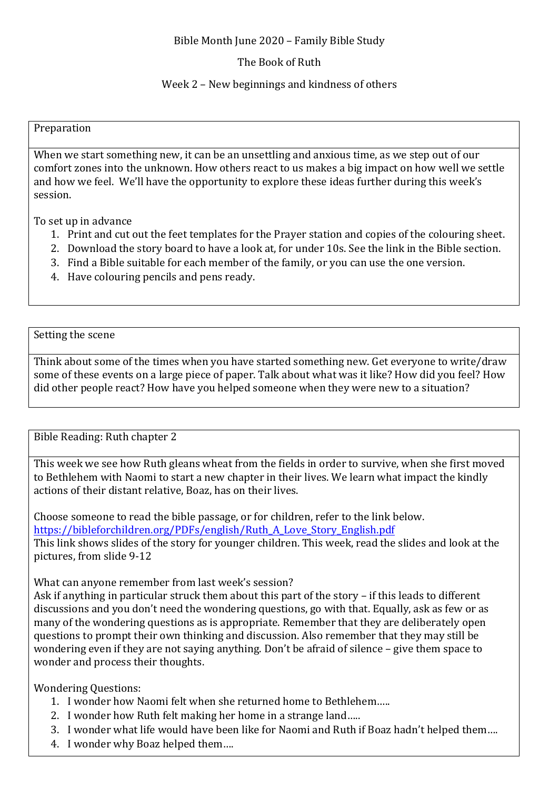# Bible Month June 2020 – Family Bible Study

# The Book of Ruth

# Week 2 – New beginnings and kindness of others

#### Preparation

When we start something new, it can be an unsettling and anxious time, as we step out of our comfort zones into the unknown. How others react to us makes a big impact on how well we settle and how we feel. We'll have the opportunity to explore these ideas further during this week's session.

To set up in advance

- 1. Print and cut out the feet templates for the Prayer station and copies of the colouring sheet.
- 2. Download the story board to have a look at, for under 10s. See the link in the Bible section.
- 3. Find a Bible suitable for each member of the family, or you can use the one version.
- 4. Have colouring pencils and pens ready.

Setting the scene

Think about some of the times when you have started something new. Get everyone to write/draw some of these events on a large piece of paper. Talk about what was it like? How did you feel? How did other people react? How have you helped someone when they were new to a situation?

Bible Reading: Ruth chapter 2

This week we see how Ruth gleans wheat from the fields in order to survive, when she first moved to Bethlehem with Naomi to start a new chapter in their lives. We learn what impact the kindly actions of their distant relative, Boaz, has on their lives.

Choose someone to read the bible passage, or for children, refer to the link below. https://bibleforchildren.org/PDFs/english/Ruth\_A\_Love\_Story\_English.pdf This link shows slides of the story for younger children. This week, read the slides and look at the pictures, from slide 9-12

What can anyone remember from last week's session?

Ask if anything in particular struck them about this part of the story – if this leads to different discussions and you don't need the wondering questions, go with that. Equally, ask as few or as many of the wondering questions as is appropriate. Remember that they are deliberately open questions to prompt their own thinking and discussion. Also remember that they may still be wondering even if they are not saying anything. Don't be afraid of silence – give them space to wonder and process their thoughts.

Wondering Questions:

- 1. I wonder how Naomi felt when she returned home to Bethlehem…..
- 2. I wonder how Ruth felt making her home in a strange land…..
- 3. I wonder what life would have been like for Naomi and Ruth if Boaz hadn't helped them….
- 4. I wonder why Boaz helped them….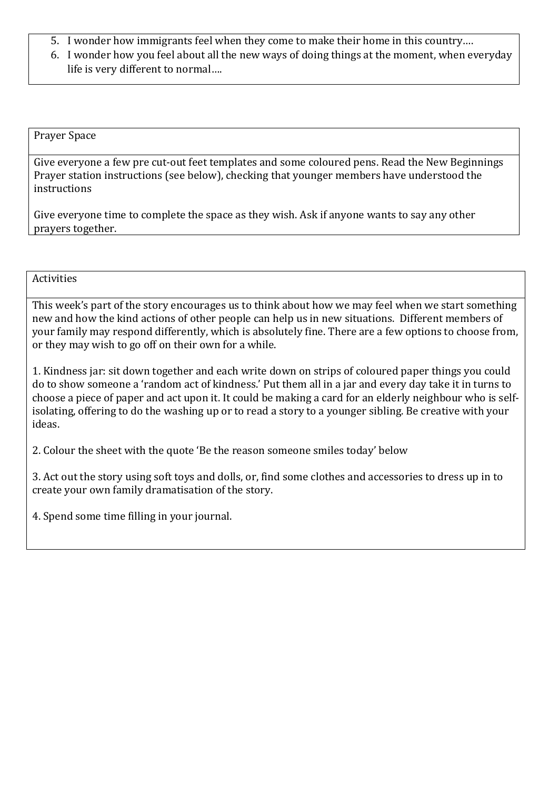- 5. I wonder how immigrants feel when they come to make their home in this country….
- 6. I wonder how you feel about all the new ways of doing things at the moment, when everyday life is very different to normal….

# Prayer Space

Give everyone a few pre cut-out feet templates and some coloured pens. Read the New Beginnings Prayer station instructions (see below), checking that younger members have understood the instructions

Give everyone time to complete the space as they wish. Ask if anyone wants to say any other prayers together.

# Activities

This week's part of the story encourages us to think about how we may feel when we start something new and how the kind actions of other people can help us in new situations. Different members of your family may respond differently, which is absolutely fine. There are a few options to choose from, or they may wish to go off on their own for a while.

1. Kindness jar: sit down together and each write down on strips of coloured paper things you could do to show someone a 'random act of kindness.' Put them all in a jar and every day take it in turns to choose a piece of paper and act upon it. It could be making a card for an elderly neighbour who is selfisolating, offering to do the washing up or to read a story to a younger sibling. Be creative with your ideas.

2. Colour the sheet with the quote 'Be the reason someone smiles today' below

3. Act out the story using soft toys and dolls, or, find some clothes and accessories to dress up in to create your own family dramatisation of the story.

4. Spend some time filling in your journal.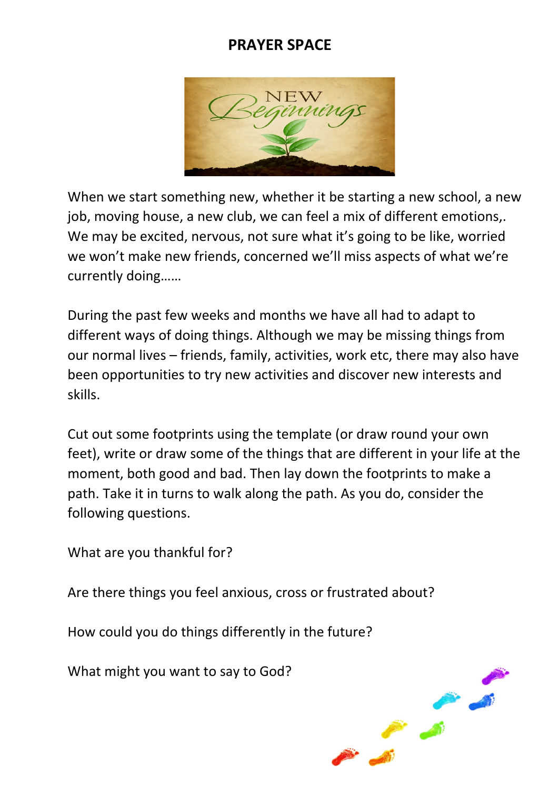# **PRAYER SPACE**



When we start something new, whether it be starting a new school, a new job, moving house, a new club, we can feel a mix of different emotions,. We may be excited, nervous, not sure what it's going to be like, worried we won't make new friends, concerned we'll miss aspects of what we're currently doing……

During the past few weeks and months we have all had to adapt to different ways of doing things. Although we may be missing things from our normal lives – friends, family, activities, work etc, there may also have been opportunities to try new activities and discover new interests and skills.

Cut out some footprints using the template (or draw round your own feet), write or draw some of the things that are different in your life at the moment, both good and bad. Then lay down the footprints to make a path. Take it in turns to walk along the path. As you do, consider the following questions.

What are you thankful for?

Are there things you feel anxious, cross or frustrated about?

How could you do things differently in the future?

What might you want to say to God?

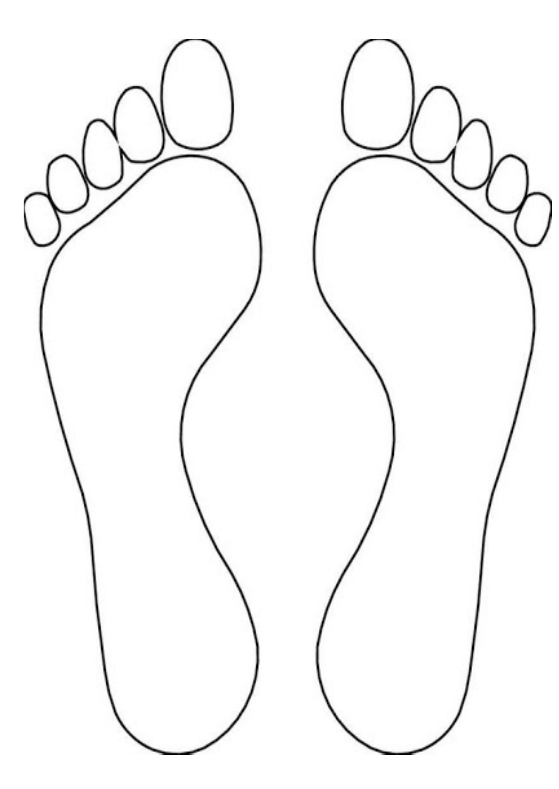